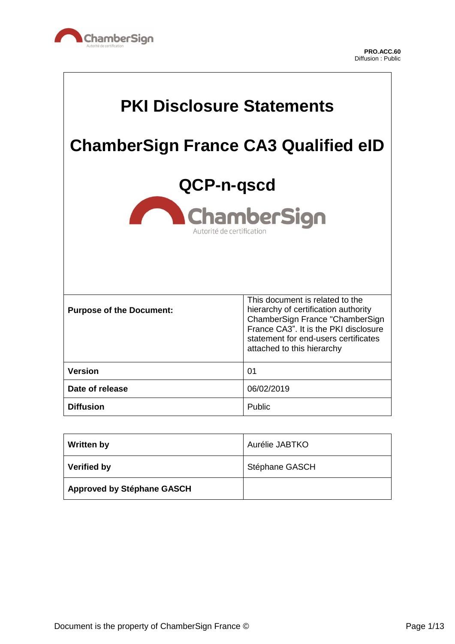

 $\Gamma$ 

٦

| <b>PKI Disclosure Statements</b>                              |                                                                                                                                                                                                                           |
|---------------------------------------------------------------|---------------------------------------------------------------------------------------------------------------------------------------------------------------------------------------------------------------------------|
| <b>ChamberSign France CA3 Qualified eID</b>                   |                                                                                                                                                                                                                           |
| QCP-n-gscd<br><b>ChamberSign</b><br>Autorité de certification |                                                                                                                                                                                                                           |
|                                                               |                                                                                                                                                                                                                           |
| <b>Purpose of the Document:</b>                               | This document is related to the<br>hierarchy of certification authority<br>ChamberSign France "ChamberSign<br>France CA3". It is the PKI disclosure<br>statement for end-users certificates<br>attached to this hierarchy |
| <b>Version</b>                                                | 01                                                                                                                                                                                                                        |
| Date of release                                               | 06/02/2019                                                                                                                                                                                                                |
| <b>Diffusion</b>                                              | Public                                                                                                                                                                                                                    |

| <b>Written by</b>                 | Aurélie JABTKO |
|-----------------------------------|----------------|
| Verified by                       | Stéphane GASCH |
| <b>Approved by Stéphane GASCH</b> |                |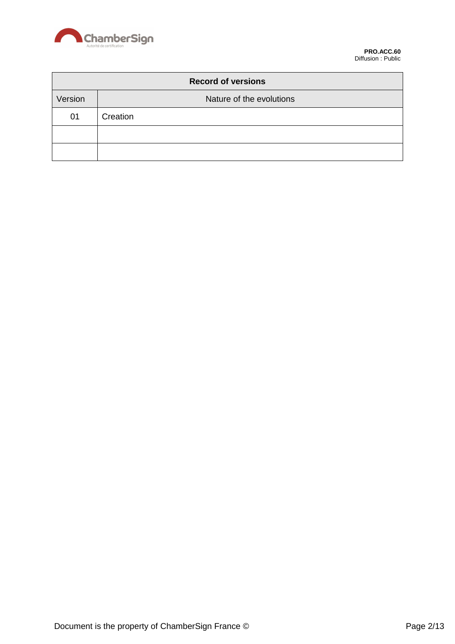

| <b>Record of versions</b> |                          |  |
|---------------------------|--------------------------|--|
| Version                   | Nature of the evolutions |  |
| 01                        | Creation                 |  |
|                           |                          |  |
|                           |                          |  |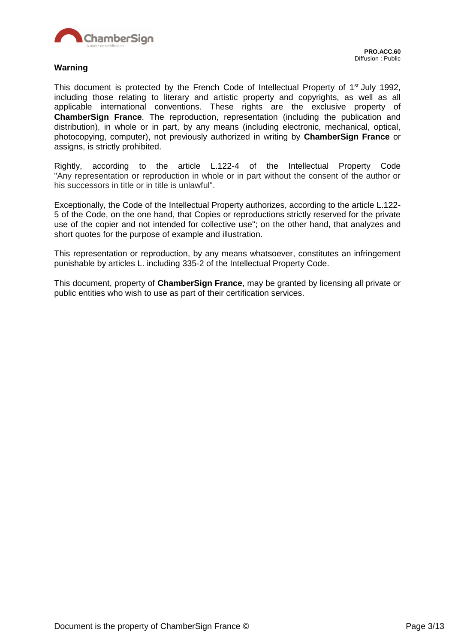

This document is protected by the French Code of Intellectual Property of 1<sup>st</sup> July 1992, including those relating to literary and artistic property and copyrights, as well as all applicable international conventions. These rights are the exclusive property of **ChamberSign France**. The reproduction, representation (including the publication and distribution), in whole or in part, by any means (including electronic, mechanical, optical, photocopying, computer), not previously authorized in writing by **ChamberSign France** or assigns, is strictly prohibited.

Rightly, according to the article L.122-4 of the Intellectual Property Code "Any representation or reproduction in whole or in part without the consent of the author or his successors in title or in title is unlawful".

Exceptionally, the Code of the Intellectual Property authorizes, according to the article L.122- 5 of the Code, on the one hand, that Copies or reproductions strictly reserved for the private use of the copier and not intended for collective use"; on the other hand, that analyzes and short quotes for the purpose of example and illustration.

This representation or reproduction, by any means whatsoever, constitutes an infringement punishable by articles L. including 335-2 of the Intellectual Property Code.

This document, property of **ChamberSign France**, may be granted by licensing all private or public entities who wish to use as part of their certification services.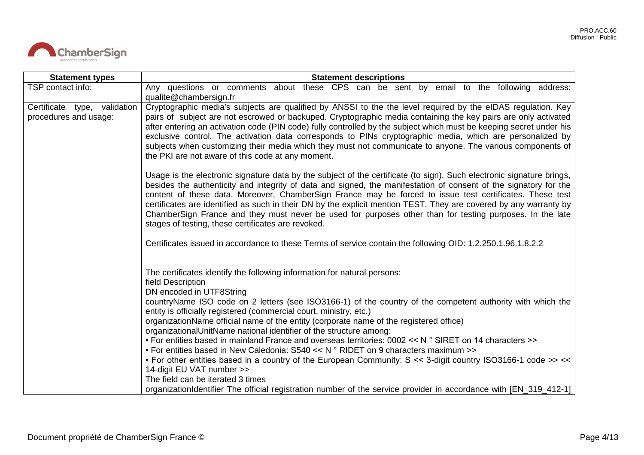

| <b>Statement types</b>                                | <b>Statement descriptions</b>                                                                                                                                                                                                                                                                                                                                                                                                                                                                                                                                                                                                                |
|-------------------------------------------------------|----------------------------------------------------------------------------------------------------------------------------------------------------------------------------------------------------------------------------------------------------------------------------------------------------------------------------------------------------------------------------------------------------------------------------------------------------------------------------------------------------------------------------------------------------------------------------------------------------------------------------------------------|
| TSP contact info:                                     | Any questions or comments about these CPS can be sent by email to the following address:<br>qualite@chambersign.fr                                                                                                                                                                                                                                                                                                                                                                                                                                                                                                                           |
| Certificate type, validation<br>procedures and usage: | Cryptographic media's subjects are qualified by ANSSI to the the level required by the eIDAS regulation. Key<br>pairs of subject are not escrowed or backuped. Cryptographic media containing the key pairs are only activated<br>after entering an activation code (PIN code) fully controlled by the subject which must be keeping secret under his<br>exclusive control. The activation data corresponds to PINs cryptographic media, which are personalized by<br>subjects when customizing their media which they must not communicate to anyone. The various components of<br>the PKI are not aware of this code at any moment.        |
|                                                       | Usage is the electronic signature data by the subject of the certificate (to sign). Such electronic signature brings,<br>besides the authenticity and integrity of data and signed, the manifestation of consent of the signatory for the<br>content of these data. Moreover, ChamberSign France may be forced to issue test certificates. These test<br>certificates are identified as such in their DN by the explicit mention TEST. They are covered by any warranty by<br>ChamberSign France and they must never be used for purposes other than for testing purposes. In the late<br>stages of testing, these certificates are revoked. |
|                                                       | Certificates issued in accordance to these Terms of service contain the following OID: 1.2.250.1.96.1.8.2.2                                                                                                                                                                                                                                                                                                                                                                                                                                                                                                                                  |
|                                                       | The certificates identify the following information for natural persons:<br>field Description<br>DN encoded in UTF8String                                                                                                                                                                                                                                                                                                                                                                                                                                                                                                                    |
|                                                       | countryName ISO code on 2 letters (see ISO3166-1) of the country of the competent authority with which the<br>entity is officially registered (commercial court, ministry, etc.)<br>organizationName official name of the entity (corporate name of the registered office)<br>organizationalUnitName national identifier of the structure among:                                                                                                                                                                                                                                                                                             |
|                                                       | • For entities based in mainland France and overseas territories: 0002 << N ° SIRET on 14 characters >><br>• For entities based in New Caledonia: $S540 << N$ ° RIDET on 9 characters maximum >>                                                                                                                                                                                                                                                                                                                                                                                                                                             |
|                                                       | • For other entities based in a country of the European Community: S << 3-digit country ISO3166-1 code >> <<<br>14-digit EU VAT number >>                                                                                                                                                                                                                                                                                                                                                                                                                                                                                                    |
|                                                       | The field can be iterated 3 times<br>organizationIdentifier The official registration number of the service provider in accordance with [EN_319_412-1]                                                                                                                                                                                                                                                                                                                                                                                                                                                                                       |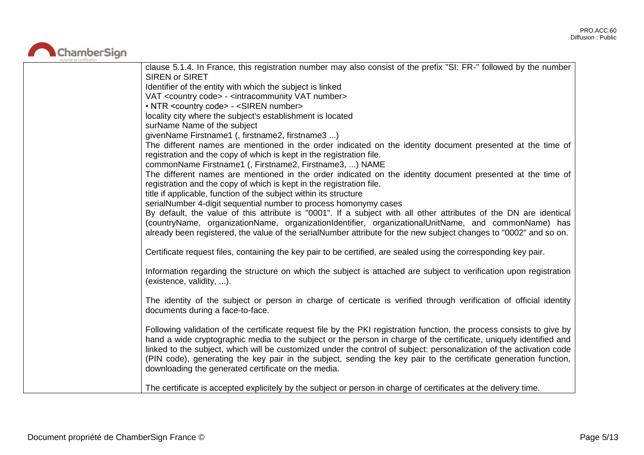

| clause 5.1.4. In France, this registration number may also consist of the prefix "SI: FR-" followed by the number      |
|------------------------------------------------------------------------------------------------------------------------|
| <b>SIREN or SIRET</b>                                                                                                  |
| Identifier of the entity with which the subject is linked                                                              |
| VAT <country code=""> - <intracommunity number="" vat=""></intracommunity></country>                                   |
| • NTR <country code=""> - <siren number=""></siren></country>                                                          |
| locality city where the subject's establishment is located                                                             |
| surName Name of the subject                                                                                            |
| givenName Firstname1 (, firstname2, firstname3 )                                                                       |
| The different names are mentioned in the order indicated on the identity document presented at the time of             |
| registration and the copy of which is kept in the registration file.                                                   |
| commonName Firstname1 (, Firstname2, Firstname3, ) NAME                                                                |
| The different names are mentioned in the order indicated on the identity document presented at the time of             |
| registration and the copy of which is kept in the registration file.                                                   |
| title if applicable, function of the subject within its structure                                                      |
| serialNumber 4-digit sequential number to process homonymy cases                                                       |
| By default, the value of this attribute is "0001". If a subject with all other attributes of the DN are identical      |
| (countryName, organizationName, organizationIdentifier, organizationalUnitName, and commonName) has                    |
| already been registered, the value of the serialNumber attribute for the new subject changes to "0002" and so on.      |
|                                                                                                                        |
| Certificate request files, containing the key pair to be certified, are sealed using the corresponding key pair.       |
| Information regarding the structure on which the subject is attached are subject to verification upon registration     |
| (existence, validity, ).                                                                                               |
|                                                                                                                        |
| The identity of the subject or person in charge of certicate is verified through verification of official identity     |
| documents during a face-to-face.                                                                                       |
|                                                                                                                        |
| Following validation of the certificate request file by the PKI registration function, the process consists to give by |
| hand a wide cryptographic media to the subject or the person in charge of the certificate, uniquely identified and     |
| linked to the subject, which will be customized under the control of subject: personalization of the activation code   |
| (PIN code), generating the key pair in the subject, sending the key pair to the certificate generation function,       |
| downloading the generated certificate on the media.                                                                    |
|                                                                                                                        |
| The certificate is accepted explicitely by the subject or person in charge of certificates at the delivery time.       |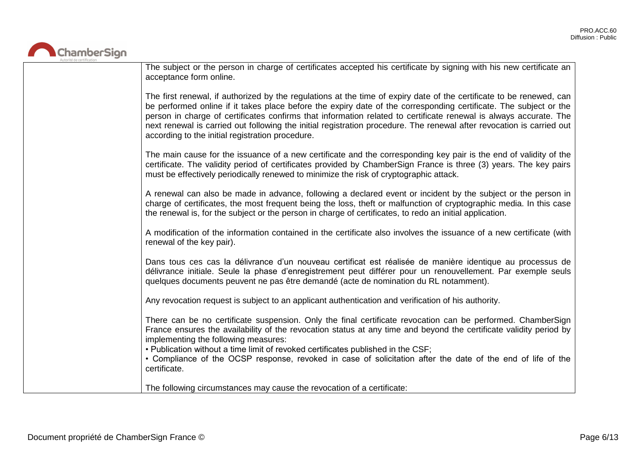

| The subject or the person in charge of certificates accepted his certificate by signing with his new certificate an<br>acceptance form online.                                                                                                                                                                                                                                                                                                                                                                                              |
|---------------------------------------------------------------------------------------------------------------------------------------------------------------------------------------------------------------------------------------------------------------------------------------------------------------------------------------------------------------------------------------------------------------------------------------------------------------------------------------------------------------------------------------------|
| The first renewal, if authorized by the regulations at the time of expiry date of the certificate to be renewed, can<br>be performed online if it takes place before the expiry date of the corresponding certificate. The subject or the<br>person in charge of certificates confirms that information related to certificate renewal is always accurate. The<br>next renewal is carried out following the initial registration procedure. The renewal after revocation is carried out<br>according to the initial registration procedure. |
| The main cause for the issuance of a new certificate and the corresponding key pair is the end of validity of the<br>certificate. The validity period of certificates provided by ChamberSign France is three (3) years. The key pairs<br>must be effectively periodically renewed to minimize the risk of cryptographic attack.                                                                                                                                                                                                            |
| A renewal can also be made in advance, following a declared event or incident by the subject or the person in<br>charge of certificates, the most frequent being the loss, theft or malfunction of cryptographic media. In this case<br>the renewal is, for the subject or the person in charge of certificates, to redo an initial application.                                                                                                                                                                                            |
| A modification of the information contained in the certificate also involves the issuance of a new certificate (with<br>renewal of the key pair).                                                                                                                                                                                                                                                                                                                                                                                           |
| Dans tous ces cas la délivrance d'un nouveau certificat est réalisée de manière identique au processus de<br>délivrance initiale. Seule la phase d'enregistrement peut différer pour un renouvellement. Par exemple seuls<br>quelques documents peuvent ne pas être demandé (acte de nomination du RL notamment).                                                                                                                                                                                                                           |
| Any revocation request is subject to an applicant authentication and verification of his authority.                                                                                                                                                                                                                                                                                                                                                                                                                                         |
| There can be no certificate suspension. Only the final certificate revocation can be performed. ChamberSign<br>France ensures the availability of the revocation status at any time and beyond the certificate validity period by<br>implementing the following measures:<br>. Publication without a time limit of revoked certificates published in the CSF;<br>• Compliance of the OCSP response, revoked in case of solicitation after the date of the end of life of the<br>certificate.                                                |
| The following circumstances may cause the revocation of a certificate:                                                                                                                                                                                                                                                                                                                                                                                                                                                                      |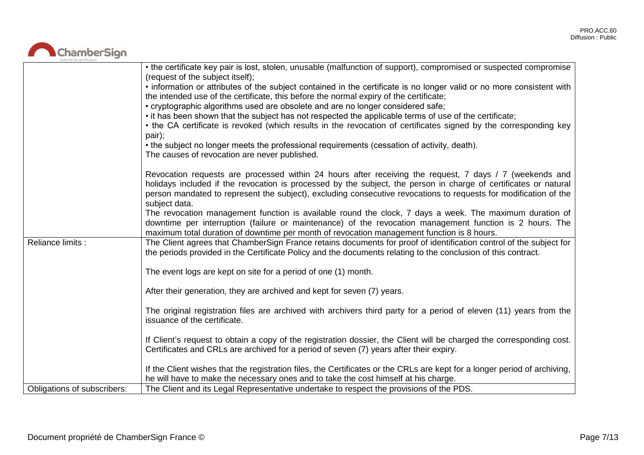# ChamberSign

|                             | • the certificate key pair is lost, stolen, unusable (malfunction of support), compromised or suspected compromise<br>(request of the subject itself);                                                                                                                                                                                                           |
|-----------------------------|------------------------------------------------------------------------------------------------------------------------------------------------------------------------------------------------------------------------------------------------------------------------------------------------------------------------------------------------------------------|
|                             | • information or attributes of the subject contained in the certificate is no longer valid or no more consistent with<br>the intended use of the certificate, this before the normal expiry of the certificate;                                                                                                                                                  |
|                             | • cryptographic algorithms used are obsolete and are no longer considered safe;                                                                                                                                                                                                                                                                                  |
|                             | • it has been shown that the subject has not respected the applicable terms of use of the certificate;                                                                                                                                                                                                                                                           |
|                             | • the CA certificate is revoked (which results in the revocation of certificates signed by the corresponding key<br>pair);                                                                                                                                                                                                                                       |
|                             | • the subject no longer meets the professional requirements (cessation of activity, death).                                                                                                                                                                                                                                                                      |
|                             | The causes of revocation are never published.                                                                                                                                                                                                                                                                                                                    |
|                             | Revocation requests are processed within 24 hours after receiving the request, 7 days / 7 (weekends and<br>holidays included if the revocation is processed by the subject, the person in charge of certificates or natural<br>person mandated to represent the subject), excluding consecutive revocations to requests for modification of the<br>subject data. |
|                             | The revocation management function is available round the clock, 7 days a week. The maximum duration of                                                                                                                                                                                                                                                          |
|                             | downtime per interruption (failure or maintenance) of the revocation management function is 2 hours. The<br>maximum total duration of downtime per month of revocation management function is 8 hours.                                                                                                                                                           |
| Reliance limits :           | The Client agrees that ChamberSign France retains documents for proof of identification control of the subject for<br>the periods provided in the Certificate Policy and the documents relating to the conclusion of this contract.                                                                                                                              |
|                             | The event logs are kept on site for a period of one (1) month.                                                                                                                                                                                                                                                                                                   |
|                             | After their generation, they are archived and kept for seven (7) years.                                                                                                                                                                                                                                                                                          |
|                             | The original registration files are archived with archivers third party for a period of eleven (11) years from the<br>issuance of the certificate.                                                                                                                                                                                                               |
|                             | If Client's request to obtain a copy of the registration dossier, the Client will be charged the corresponding cost.<br>Certificates and CRLs are archived for a period of seven (7) years after their expiry.                                                                                                                                                   |
|                             | If the Client wishes that the registration files, the Certificates or the CRLs are kept for a longer period of archiving,<br>he will have to make the necessary ones and to take the cost himself at his charge.                                                                                                                                                 |
| Obligations of subscribers: | The Client and its Legal Representative undertake to respect the provisions of the PDS.                                                                                                                                                                                                                                                                          |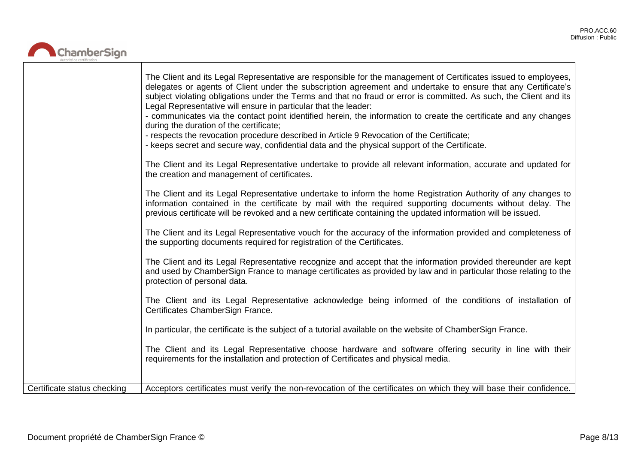

|                             | The Client and its Legal Representative are responsible for the management of Certificates issued to employees,<br>delegates or agents of Client under the subscription agreement and undertake to ensure that any Certificate's<br>subject violating obligations under the Terms and that no fraud or error is committed. As such, the Client and its<br>Legal Representative will ensure in particular that the leader:<br>- communicates via the contact point identified herein, the information to create the certificate and any changes<br>during the duration of the certificate;<br>- respects the revocation procedure described in Article 9 Revocation of the Certificate;<br>- keeps secret and secure way, confidential data and the physical support of the Certificate.<br>The Client and its Legal Representative undertake to provide all relevant information, accurate and updated for<br>the creation and management of certificates.<br>The Client and its Legal Representative undertake to inform the home Registration Authority of any changes to<br>information contained in the certificate by mail with the required supporting documents without delay. The<br>previous certificate will be revoked and a new certificate containing the updated information will be issued.<br>The Client and its Legal Representative vouch for the accuracy of the information provided and completeness of<br>the supporting documents required for registration of the Certificates. |
|-----------------------------|---------------------------------------------------------------------------------------------------------------------------------------------------------------------------------------------------------------------------------------------------------------------------------------------------------------------------------------------------------------------------------------------------------------------------------------------------------------------------------------------------------------------------------------------------------------------------------------------------------------------------------------------------------------------------------------------------------------------------------------------------------------------------------------------------------------------------------------------------------------------------------------------------------------------------------------------------------------------------------------------------------------------------------------------------------------------------------------------------------------------------------------------------------------------------------------------------------------------------------------------------------------------------------------------------------------------------------------------------------------------------------------------------------------------------------------------------------------------------------------------------------|
|                             | The Client and its Legal Representative recognize and accept that the information provided thereunder are kept<br>and used by ChamberSign France to manage certificates as provided by law and in particular those relating to the<br>protection of personal data.                                                                                                                                                                                                                                                                                                                                                                                                                                                                                                                                                                                                                                                                                                                                                                                                                                                                                                                                                                                                                                                                                                                                                                                                                                      |
|                             | The Client and its Legal Representative acknowledge being informed of the conditions of installation of<br>Certificates ChamberSign France.                                                                                                                                                                                                                                                                                                                                                                                                                                                                                                                                                                                                                                                                                                                                                                                                                                                                                                                                                                                                                                                                                                                                                                                                                                                                                                                                                             |
|                             | In particular, the certificate is the subject of a tutorial available on the website of ChamberSign France.                                                                                                                                                                                                                                                                                                                                                                                                                                                                                                                                                                                                                                                                                                                                                                                                                                                                                                                                                                                                                                                                                                                                                                                                                                                                                                                                                                                             |
|                             | The Client and its Legal Representative choose hardware and software offering security in line with their<br>requirements for the installation and protection of Certificates and physical media.                                                                                                                                                                                                                                                                                                                                                                                                                                                                                                                                                                                                                                                                                                                                                                                                                                                                                                                                                                                                                                                                                                                                                                                                                                                                                                       |
| Certificate status checking | Acceptors certificates must verify the non-revocation of the certificates on which they will base their confidence.                                                                                                                                                                                                                                                                                                                                                                                                                                                                                                                                                                                                                                                                                                                                                                                                                                                                                                                                                                                                                                                                                                                                                                                                                                                                                                                                                                                     |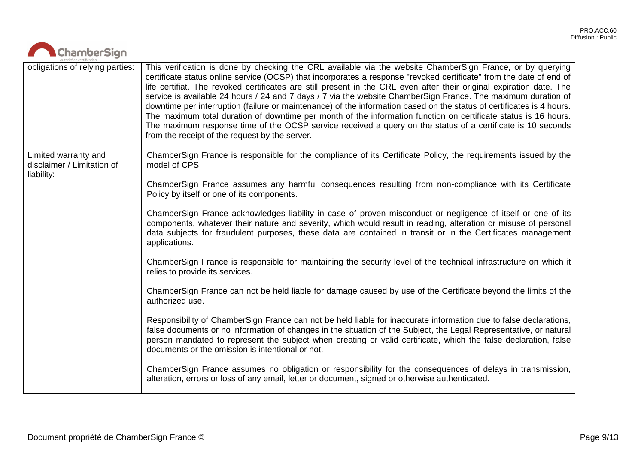| ChamberSign                                                      |                                                                                                                                                                                                                                                                                                                                                                                                                                                                                                                                                                                                                                                                                                                                                                                                                                                                                         |
|------------------------------------------------------------------|-----------------------------------------------------------------------------------------------------------------------------------------------------------------------------------------------------------------------------------------------------------------------------------------------------------------------------------------------------------------------------------------------------------------------------------------------------------------------------------------------------------------------------------------------------------------------------------------------------------------------------------------------------------------------------------------------------------------------------------------------------------------------------------------------------------------------------------------------------------------------------------------|
| obligations of relying parties:                                  | This verification is done by checking the CRL available via the website ChamberSign France, or by querying<br>certificate status online service (OCSP) that incorporates a response "revoked certificate" from the date of end of<br>life certifiat. The revoked certificates are still present in the CRL even after their original expiration date. The<br>service is available 24 hours / 24 and 7 days / 7 via the website ChamberSign France. The maximum duration of<br>downtime per interruption (failure or maintenance) of the information based on the status of certificates is 4 hours.<br>The maximum total duration of downtime per month of the information function on certificate status is 16 hours.<br>The maximum response time of the OCSP service received a query on the status of a certificate is 10 seconds<br>from the receipt of the request by the server. |
| Limited warranty and<br>disclaimer / Limitation of<br>liability: | ChamberSign France is responsible for the compliance of its Certificate Policy, the requirements issued by the<br>model of CPS.                                                                                                                                                                                                                                                                                                                                                                                                                                                                                                                                                                                                                                                                                                                                                         |
|                                                                  | ChamberSign France assumes any harmful consequences resulting from non-compliance with its Certificate<br>Policy by itself or one of its components.                                                                                                                                                                                                                                                                                                                                                                                                                                                                                                                                                                                                                                                                                                                                    |
|                                                                  | ChamberSign France acknowledges liability in case of proven misconduct or negligence of itself or one of its<br>components, whatever their nature and severity, which would result in reading, alteration or misuse of personal<br>data subjects for fraudulent purposes, these data are contained in transit or in the Certificates management<br>applications.                                                                                                                                                                                                                                                                                                                                                                                                                                                                                                                        |
|                                                                  | ChamberSign France is responsible for maintaining the security level of the technical infrastructure on which it<br>relies to provide its services.                                                                                                                                                                                                                                                                                                                                                                                                                                                                                                                                                                                                                                                                                                                                     |
|                                                                  | ChamberSign France can not be held liable for damage caused by use of the Certificate beyond the limits of the<br>authorized use.                                                                                                                                                                                                                                                                                                                                                                                                                                                                                                                                                                                                                                                                                                                                                       |
|                                                                  | Responsibility of ChamberSign France can not be held liable for inaccurate information due to false declarations,<br>false documents or no information of changes in the situation of the Subject, the Legal Representative, or natural<br>person mandated to represent the subject when creating or valid certificate, which the false declaration, false<br>documents or the omission is intentional or not.                                                                                                                                                                                                                                                                                                                                                                                                                                                                          |
|                                                                  | ChamberSign France assumes no obligation or responsibility for the consequences of delays in transmission,<br>alteration, errors or loss of any email, letter or document, signed or otherwise authenticated.                                                                                                                                                                                                                                                                                                                                                                                                                                                                                                                                                                                                                                                                           |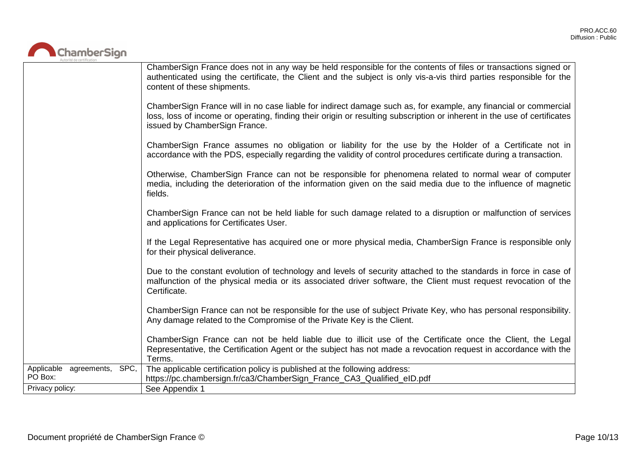

|                                        | ChamberSign France does not in any way be held responsible for the contents of files or transactions signed or<br>authenticated using the certificate, the Client and the subject is only vis-a-vis third parties responsible for the<br>content of these shipments.         |
|----------------------------------------|------------------------------------------------------------------------------------------------------------------------------------------------------------------------------------------------------------------------------------------------------------------------------|
|                                        | ChamberSign France will in no case liable for indirect damage such as, for example, any financial or commercial<br>loss, loss of income or operating, finding their origin or resulting subscription or inherent in the use of certificates<br>issued by ChamberSign France. |
|                                        | ChamberSign France assumes no obligation or liability for the use by the Holder of a Certificate not in<br>accordance with the PDS, especially regarding the validity of control procedures certificate during a transaction.                                                |
|                                        | Otherwise, ChamberSign France can not be responsible for phenomena related to normal wear of computer<br>media, including the deterioration of the information given on the said media due to the influence of magnetic<br>fields.                                           |
|                                        | ChamberSign France can not be held liable for such damage related to a disruption or malfunction of services<br>and applications for Certificates User.                                                                                                                      |
|                                        | If the Legal Representative has acquired one or more physical media, ChamberSign France is responsible only<br>for their physical deliverance.                                                                                                                               |
|                                        | Due to the constant evolution of technology and levels of security attached to the standards in force in case of<br>malfunction of the physical media or its associated driver software, the Client must request revocation of the<br>Certificate.                           |
|                                        | ChamberSign France can not be responsible for the use of subject Private Key, who has personal responsibility.<br>Any damage related to the Compromise of the Private Key is the Client.                                                                                     |
|                                        | ChamberSign France can not be held liable due to illicit use of the Certificate once the Client, the Legal<br>Representative, the Certification Agent or the subject has not made a revocation request in accordance with the<br>Terms.                                      |
| Applicable agreements, SPC,<br>PO Box: | The applicable certification policy is published at the following address:<br>https://pc.chambersign.fr/ca3/ChamberSign_France_CA3_Qualified_eID.pdf                                                                                                                         |
| Privacy policy:                        | See Appendix 1                                                                                                                                                                                                                                                               |
|                                        |                                                                                                                                                                                                                                                                              |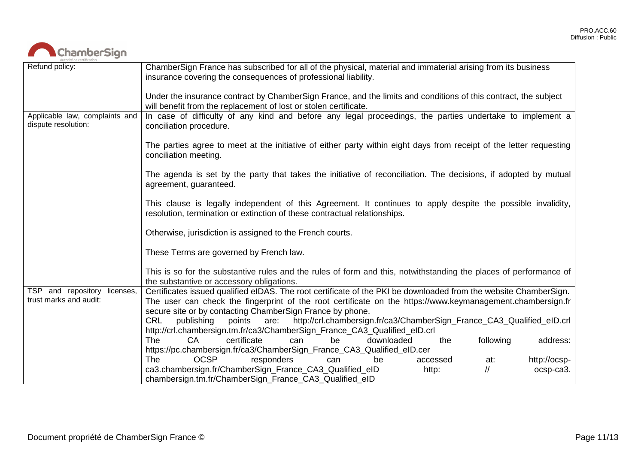

| Autorité de certification                             |                                                                                                                                                                                           |
|-------------------------------------------------------|-------------------------------------------------------------------------------------------------------------------------------------------------------------------------------------------|
| Refund policy:                                        | ChamberSign France has subscribed for all of the physical, material and immaterial arising from its business<br>insurance covering the consequences of professional liability.            |
|                                                       | Under the insurance contract by ChamberSign France, and the limits and conditions of this contract, the subject<br>will benefit from the replacement of lost or stolen certificate.       |
| Applicable law, complaints and<br>dispute resolution: | In case of difficulty of any kind and before any legal proceedings, the parties undertake to implement a<br>conciliation procedure.                                                       |
|                                                       | The parties agree to meet at the initiative of either party within eight days from receipt of the letter requesting<br>conciliation meeting.                                              |
|                                                       | The agenda is set by the party that takes the initiative of reconciliation. The decisions, if adopted by mutual<br>agreement, guaranteed.                                                 |
|                                                       | This clause is legally independent of this Agreement. It continues to apply despite the possible invalidity,<br>resolution, termination or extinction of these contractual relationships. |
|                                                       | Otherwise, jurisdiction is assigned to the French courts.                                                                                                                                 |
|                                                       | These Terms are governed by French law.                                                                                                                                                   |
|                                                       | This is so for the substantive rules and the rules of form and this, notwithstanding the places of performance of<br>the substantive or accessory obligations.                            |
| TSP and repository licenses,                          | Certificates issued qualified eIDAS. The root certificate of the PKI be downloaded from the website ChamberSign.                                                                          |
| trust marks and audit:                                | The user can check the fingerprint of the root certificate on the https://www.keymanagement.chambersign.fr                                                                                |
|                                                       | secure site or by contacting ChamberSign France by phone.                                                                                                                                 |
|                                                       | <b>CRL</b><br>publishing<br>points<br>http://crl.chambersign.fr/ca3/ChamberSign_France_CA3_Qualified_eID.crl<br>are:                                                                      |
|                                                       | http://crl.chambersign.tm.fr/ca3/ChamberSign_France_CA3_Qualified_eID.crl                                                                                                                 |
|                                                       | following<br>certificate<br>The<br>CA<br>downloaded<br>address:<br>can<br>be<br>the                                                                                                       |
|                                                       | https://pc.chambersign.fr/ca3/ChamberSign_France_CA3_Qualified_eID.cer                                                                                                                    |
|                                                       | <b>OCSP</b><br><b>The</b><br>responders<br>http://ocsp-<br>accessed<br>be<br>can<br>at:                                                                                                   |
|                                                       | ca3.chambersign.fr/ChamberSign_France_CA3_Qualified_eID<br>$^{\prime\prime}$<br>http:<br>ocsp-ca3.                                                                                        |
|                                                       | chambersign.tm.fr/ChamberSign_France_CA3_Qualified_eID                                                                                                                                    |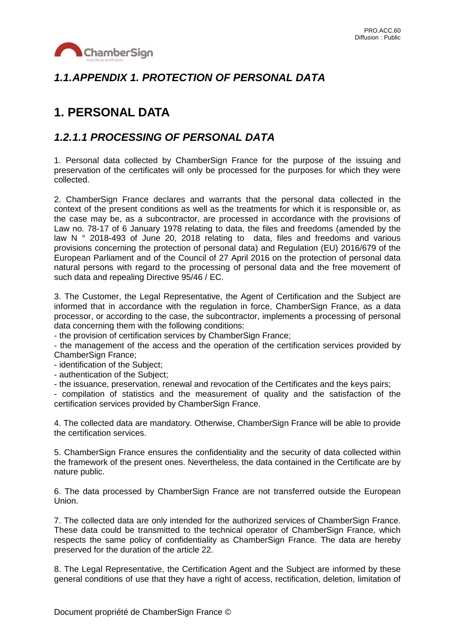

### *1.1.APPENDIX 1. PROTECTION OF PERSONAL DATA*

# **1. PERSONAL DATA**

#### *1.2.1.1 PROCESSING OF PERSONAL DATA*

1. Personal data collected by ChamberSign France for the purpose of the issuing and preservation of the certificates will only be processed for the purposes for which they were collected.

2. ChamberSign France declares and warrants that the personal data collected in the context of the present conditions as well as the treatments for which it is responsible or, as the case may be, as a subcontractor, are processed in accordance with the provisions of Law no. 78-17 of 6 January 1978 relating to data, the files and freedoms (amended by the law N ° 2018-493 of June 20, 2018 relating to data, files and freedoms and various provisions concerning the protection of personal data) and Regulation (EU) 2016/679 of the European Parliament and of the Council of 27 April 2016 on the protection of personal data natural persons with regard to the processing of personal data and the free movement of such data and repealing Directive 95/46 / EC.

3. The Customer, the Legal Representative, the Agent of Certification and the Subject are informed that in accordance with the regulation in force, ChamberSign France, as a data processor, or according to the case, the subcontractor, implements a processing of personal data concerning them with the following conditions:

- the provision of certification services by ChamberSign France;

- the management of the access and the operation of the certification services provided by ChamberSign France;

- identification of the Subject;

- authentication of the Subject;

- the issuance, preservation, renewal and revocation of the Certificates and the keys pairs;

- compilation of statistics and the measurement of quality and the satisfaction of the certification services provided by ChamberSign France.

4. The collected data are mandatory. Otherwise, ChamberSign France will be able to provide the certification services.

5. ChamberSign France ensures the confidentiality and the security of data collected within the framework of the present ones. Nevertheless, the data contained in the Certificate are by nature public.

6. The data processed by ChamberSign France are not transferred outside the European Union.

7. The collected data are only intended for the authorized services of ChamberSign France. These data could be transmitted to the technical operator of ChamberSign France, which respects the same policy of confidentiality as ChamberSign France. The data are hereby preserved for the duration of the article 22.

8. The Legal Representative, the Certification Agent and the Subject are informed by these general conditions of use that they have a right of access, rectification, deletion, limitation of